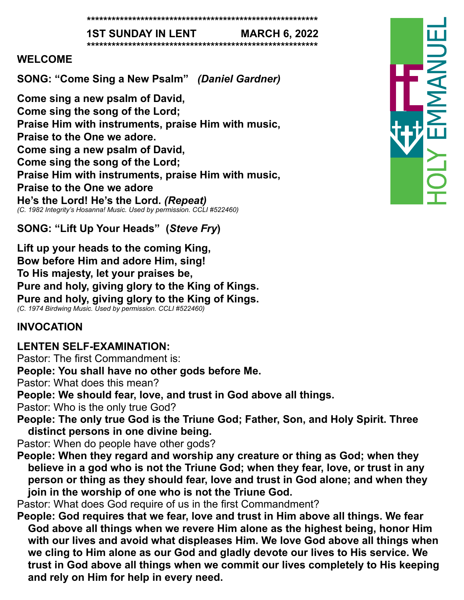**\*\*\*\*\*\*\*\*\*\*\*\*\*\*\*\*\*\*\*\*\*\*\*\*\*\*\*\*\*\*\*\*\*\*\*\*\*\*\*\*\*\*\*\*\*\*\*\*\*\*\*\*\*\*\*\***

**1ST SUNDAY IN LENT MARCH 6, 2022**

**\*\*\*\*\*\*\*\*\*\*\*\*\*\*\*\*\*\*\*\*\*\*\*\*\*\*\*\*\*\*\*\*\*\*\*\*\*\*\*\*\*\*\*\*\*\*\*\*\*\*\*\*\*\*\*\***

#### **WELCOME**

**SONG: "Come Sing a New Psalm"** *(Daniel Gardner)*

**Come sing a new psalm of David, Come sing the song of the Lord; Praise Him with instruments, praise Him with music, Praise to the One we adore. Come sing a new psalm of David, Come sing the song of the Lord; Praise Him with instruments, praise Him with music, Praise to the One we adore He's the Lord! He's the Lord.** *(Repeat) (C. 1982 Integrity's Hosanna! Music. Used by permission. CCLI #522460)*

**SONG: "Lift Up Your Heads" (***Steve Fry***)**

**Lift up your heads to the coming King, Bow before Him and adore Him, sing! To His majesty, let your praises be, Pure and holy, giving glory to the King of Kings. Pure and holy, giving glory to the King of Kings.** *(C. 1974 Birdwing Music. Used by permission. CCLI #522460)*

#### **INVOCATION**

# **LENTEN SELF-EXAMINATION:**

Pastor: The first Commandment is:

**People: You shall have no other gods before Me.**

Pastor: What does this mean?

**People: We should fear, love, and trust in God above all things.** 

Pastor: Who is the only true God?

**People: The only true God is the Triune God; Father, Son, and Holy Spirit. Three distinct persons in one divine being.** 

Pastor: When do people have other gods?

**People: When they regard and worship any creature or thing as God; when they believe in a god who is not the Triune God; when they fear, love, or trust in any person or thing as they should fear, love and trust in God alone; and when they join in the worship of one who is not the Triune God.** 

Pastor: What does God require of us in the first Commandment?

**People: God requires that we fear, love and trust in Him above all things. We fear God above all things when we revere Him alone as the highest being, honor Him with our lives and avoid what displeases Him. We love God above all things when we cling to Him alone as our God and gladly devote our lives to His service. We trust in God above all things when we commit our lives completely to His keeping and rely on Him for help in every need.**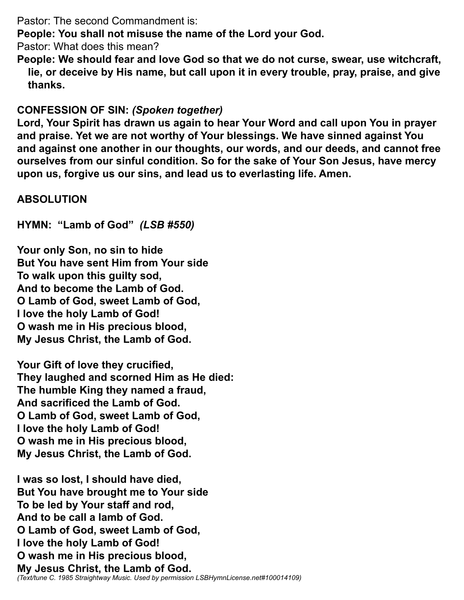Pastor: The second Commandment is:

**People: You shall not misuse the name of the Lord your God.** 

Pastor: What does this mean?

**People: We should fear and love God so that we do not curse, swear, use witchcraft, lie, or deceive by His name, but call upon it in every trouble, pray, praise, and give thanks.** 

### **CONFESSION OF SIN:** *(Spoken together)*

**Lord, Your Spirit has drawn us again to hear Your Word and call upon You in prayer and praise. Yet we are not worthy of Your blessings. We have sinned against You and against one another in our thoughts, our words, and our deeds, and cannot free ourselves from our sinful condition. So for the sake of Your Son Jesus, have mercy upon us, forgive us our sins, and lead us to everlasting life. Amen.** 

#### **ABSOLUTION**

**HYMN: "Lamb of God"** *(LSB #550)*

**Your only Son, no sin to hide But You have sent Him from Your side To walk upon this guilty sod, And to become the Lamb of God. O Lamb of God, sweet Lamb of God, I love the holy Lamb of God! O wash me in His precious blood, My Jesus Christ, the Lamb of God.** 

**Your Gift of love they crucified, They laughed and scorned Him as He died: The humble King they named a fraud, And sacrificed the Lamb of God. O Lamb of God, sweet Lamb of God, I love the holy Lamb of God! O wash me in His precious blood, My Jesus Christ, the Lamb of God.** 

**I was so lost, I should have died, But You have brought me to Your side To be led by Your staff and rod, And to be call a lamb of God. O Lamb of God, sweet Lamb of God, I love the holy Lamb of God! O wash me in His precious blood, My Jesus Christ, the Lamb of God.**  *(Text/tune C. 1985 Straightway Music. Used by permission LSBHymnLicense.net#100014109)*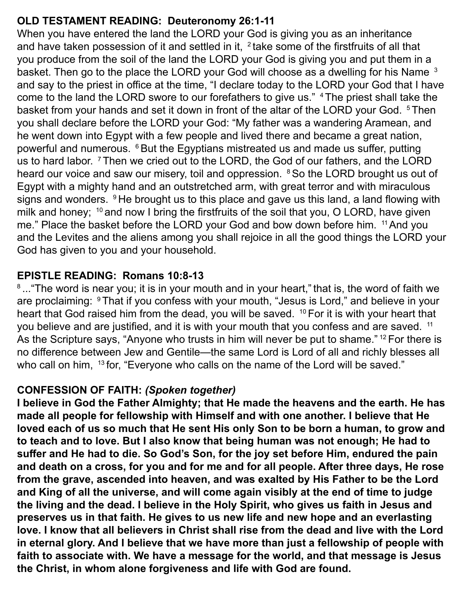# **OLD TESTAMENT READING: Deuteronomy 26:1-11**

When you have entered the land the LORD your God is giving you as an inheritance and have taken possession of it and settled in it,  $2$  take some of the firstfruits of all that you produce from the soil of the land the LORD your God is giving you and put them in a basket. Then go to the place the LORD your God will choose as a dwelling for his Name <sup>3</sup> and say to the priest in office at the time, "I declare today to the LORD your God that I have come to the land the LORD swore to our forefathers to give us." <sup>4</sup>The priest shall take the basket from your hands and set it down in front of the altar of the LORD your God. <sup>5</sup>Then you shall declare before the LORD your God: "My father was a wandering Aramean, and he went down into Egypt with a few people and lived there and became a great nation, powerful and numerous. <sup>6</sup> But the Egyptians mistreated us and made us suffer, putting us to hard labor. <sup>7</sup>Then we cried out to the LORD, the God of our fathers, and the LORD heard our voice and saw our misery, toil and oppression. <sup>8</sup> So the LORD brought us out of Egypt with a mighty hand and an outstretched arm, with great terror and with miraculous signs and wonders. <sup>9</sup>He brought us to this place and gave us this land, a land flowing with milk and honey;  $10$  and now I bring the firstfruits of the soil that you, O LORD, have given me." Place the basket before the LORD your God and bow down before him. <sup>11</sup> And you and the Levites and the aliens among you shall rejoice in all the good things the LORD your God has given to you and your household.

# **EPISTLE READING: Romans 10:8-13**

<sup>8</sup>..."The word is near you; it is in your mouth and in your heart," that is, the word of faith we are proclaiming: <sup>9</sup>That if you confess with your mouth, "Jesus is Lord," and believe in your heart that God raised him from the dead, you will be saved. <sup>10</sup> For it is with your heart that you believe and are justified, and it is with your mouth that you confess and are saved. <sup>11</sup> As the Scripture says, "Anyone who trusts in him will never be put to shame."<sup>12</sup> For there is no difference between Jew and Gentile—the same Lord is Lord of all and richly blesses all who call on him, <sup>13</sup> for, "Everyone who calls on the name of the Lord will be saved."

#### **CONFESSION OF FAITH:** *(Spoken together)*

**I believe in God the Father Almighty; that He made the heavens and the earth. He has made all people for fellowship with Himself and with one another. I believe that He loved each of us so much that He sent His only Son to be born a human, to grow and to teach and to love. But I also know that being human was not enough; He had to suffer and He had to die. So God's Son, for the joy set before Him, endured the pain and death on a cross, for you and for me and for all people. After three days, He rose from the grave, ascended into heaven, and was exalted by His Father to be the Lord and King of all the universe, and will come again visibly at the end of time to judge the living and the dead. I believe in the Holy Spirit, who gives us faith in Jesus and preserves us in that faith. He gives to us new life and new hope and an everlasting love. I know that all believers in Christ shall rise from the dead and live with the Lord in eternal glory. And I believe that we have more than just a fellowship of people with faith to associate with. We have a message for the world, and that message is Jesus the Christ, in whom alone forgiveness and life with God are found.**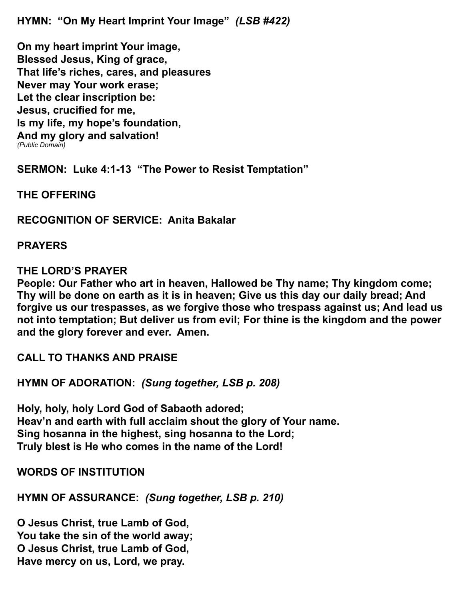**HYMN: "On My Heart Imprint Your Image"** *(LSB #422)*

**On my heart imprint Your image, Blessed Jesus, King of grace, That life's riches, cares, and pleasures Never may Your work erase; Let the clear inscription be: Jesus, crucified for me, Is my life, my hope's foundation, And my glory and salvation!** *(Public Domain)*

**SERMON: Luke 4:1-13 "The Power to Resist Temptation"**

**THE OFFERING**

**RECOGNITION OF SERVICE: Anita Bakalar**

**PRAYERS**

#### **THE LORD'S PRAYER**

**People: Our Father who art in heaven, Hallowed be Thy name; Thy kingdom come; Thy will be done on earth as it is in heaven; Give us this day our daily bread; And forgive us our trespasses, as we forgive those who trespass against us; And lead us not into temptation; But deliver us from evil; For thine is the kingdom and the power and the glory forever and ever. Amen.** 

**CALL TO THANKS AND PRAISE**

**HYMN OF ADORATION:** *(Sung together, LSB p. 208)*

**Holy, holy, holy Lord God of Sabaoth adored; Heav'n and earth with full acclaim shout the glory of Your name. Sing hosanna in the highest, sing hosanna to the Lord; Truly blest is He who comes in the name of the Lord!**

**WORDS OF INSTITUTION**

**HYMN OF ASSURANCE:** *(Sung together, LSB p. 210)*

**O Jesus Christ, true Lamb of God, You take the sin of the world away; O Jesus Christ, true Lamb of God, Have mercy on us, Lord, we pray.**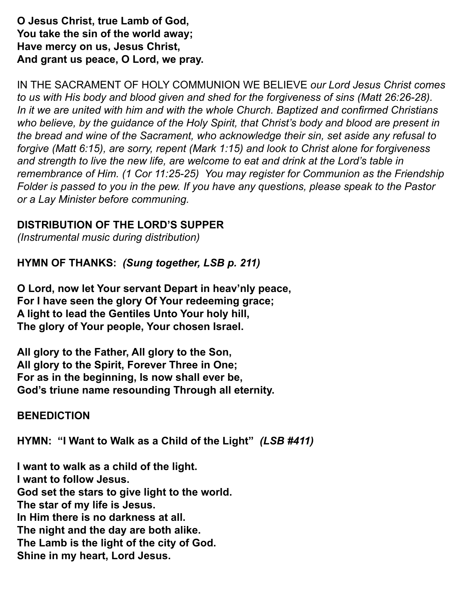**O Jesus Christ, true Lamb of God, You take the sin of the world away; Have mercy on us, Jesus Christ, And grant us peace, O Lord, we pray.**

IN THE SACRAMENT OF HOLY COMMUNION WE BELIEVE *our Lord Jesus Christ comes to us with His body and blood given and shed for the forgiveness of sins (Matt 26:26-28). In it we are united with him and with the whole Church. Baptized and confirmed Christians who believe, by the guidance of the Holy Spirit, that Christ's body and blood are present in the bread and wine of the Sacrament, who acknowledge their sin, set aside any refusal to forgive (Matt 6:15), are sorry, repent (Mark 1:15) and look to Christ alone for forgiveness and strength to live the new life, are welcome to eat and drink at the Lord's table in remembrance of Him. (1 Cor 11:25-25) You may register for Communion as the Friendship Folder is passed to you in the pew. If you have any questions, please speak to the Pastor or a Lay Minister before communing.*

### **DISTRIBUTION OF THE LORD'S SUPPER**

*(Instrumental music during distribution)*

**HYMN OF THANKS:** *(Sung together, LSB p. 211)*

**O Lord, now let Your servant Depart in heav'nly peace, For I have seen the glory Of Your redeeming grace; A light to lead the Gentiles Unto Your holy hill, The glory of Your people, Your chosen Israel.**

**All glory to the Father, All glory to the Son, All glory to the Spirit, Forever Three in One; For as in the beginning, Is now shall ever be, God's triune name resounding Through all eternity.**

#### **BENEDICTION**

**HYMN: "I Want to Walk as a Child of the Light"** *(LSB #411)*

**I want to walk as a child of the light. I want to follow Jesus. God set the stars to give light to the world. The star of my life is Jesus. In Him there is no darkness at all. The night and the day are both alike. The Lamb is the light of the city of God. Shine in my heart, Lord Jesus.**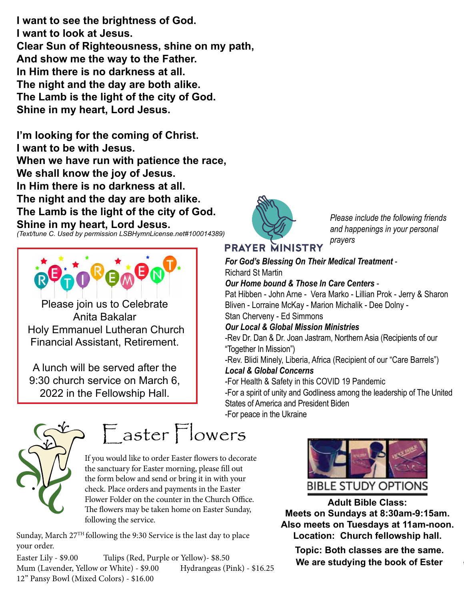I want to see the brightness of God. **I** want to look at Jesus. **Clear Sun of Righteousness, shine on my path, And show me the way to the Father.**<br> **And show me the way to the Father.** In Him there is no darkness at all. The night and the day are both alike. The Lamb is the light of the city of God. **Shine in my heart, Lord Jesus.** First way to the caller.

I'm looking for the coming of Christ. I want to be with Jesus. When we have run with patience the race, **We shall know the joy of Jesus.** \_\_\_\_Tulips (Yellow) \$8.50 **In Him there is no darkness at all.**  The night and the day are both alike. The Lamb is the light of the city of God. Shine in my heart, Lord Jesus.

*(Text/tune C. Used by permission LSBHymnLicense.net#100014389)*



Please join us to Celebrate Anita Bakalar  $\blacksquare$  Holy Emmanuel Lutheran Church Financial Assistant, Retirement.

A lunch will be served after the 9:30 church service on March 6, 2022 in the Fellowship Hall. Please make convocation the Holy Emmanuel. 9.50 Church service on March  $\sigma$ ,  $\Gamma$  -For He

In Memory of American control of the Control of American



Please include the following friends and happenings in your personal *prayers*  $_{\mu}$ <sub>16</sub>.25

# **PRAYER MINISTRY**

#### *For God's Blessing On Their Medical Treatment* - Richard St Martin *Our Home bound & Those In Care Centers* - Pat Hibben - John Arne - Vera Marko - Lillian Prok - Jerry & Sharon<br>Pi Bliven - Lorraine McKay - Marion Michalik - Dee Dolny - Stan Cherveny - Ed Simmons

#### Our Local & Global Mission Ministries

-Rev Dr. Dan & Dr. Joan Jastram, Northern Asia (Recipients of our "Together In Mission")

negedich in Mission *)*<br>-Rev. Blidi Minely, Liberia, Africa (Recipient of our "Care Barrels")

#### *Local & Global Concerns*

-For Health & Safety in this COVID 19 Pandemic Please make checks payable to Holy Emmanuel.

-For a spirit of unity and Godliness among the leadership of The United States of America and President Biden -For peace in the Ukraine



# Easter Flowers

If you would like to order Easter flowers to decorate the sanctuary for Easter morning, please fill out the form below and send or bring it in with your check. Place orders and payments in the Easter Flower Folder on the counter in the Church Office. The flowers may be taken home on Easter Sunday, following the service.

Sunday, March 27<sup>TH</sup> following the 9:30 Service is the last day to place your order.

ips (Red, Purple or Yellow)- \$8.50<br>Thite) - \$9.00 Hydrangeas (Pink) - \$16.25 **We are studying the book of Ester**  $\psi$ 10.23 Mum (Lavender, Yellow or White) - \$9.00 Hydrangeas (Pink) - \$16.25 Easter Lily - \$9.00 Tulips (Red, Purple or Yellow)- \$8.50 12" Pansy Bowl (Mixed Colors) - \$16.00



**Adult Bible Class: Meets on Sundays at 8:30am-9:15am. Meets on Sundays at 8:30am-9:15am. Also meets on Tuesdays at 11am-noon. Also meets on Tuesdays at 11am-noon.** t day to place **Location: Church fellowship hall. Adult Bible Class: Adult Bible Class: Meets on Tucsuays at Fiam-Noon.**<br>Leection Obumb followship hell **Adults** Class: **Meets on Sundays at 8:30am-9:15am.**  at  $8.30$ am  $-9.15$ am at strout the service.

**Topic: Both classes are the same.**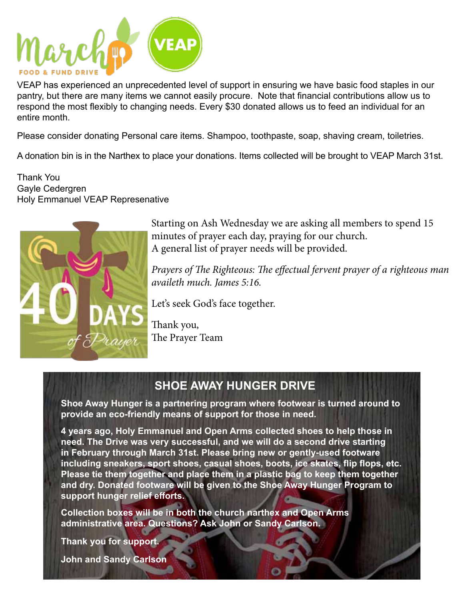

VEAP has experienced an unprecedented level of support in ensuring we have basic food staples in our pantry, but there are many items we cannot easily procure. Note that financial contributions allow us to respond the most flexibly to changing needs. Every \$30 donated allows us to feed an individual for an entire month.

Please consider donating Personal care items. Shampoo, toothpaste, soap, shaving cream, toiletries.

A donation bin is in the Narthex to place your donations. Items collected will be brought to VEAP March 31st.

Thank You Gayle Cedergren Holy Emmanuel VEAP Represenative



Starting on Ash Wednesday we are asking all members to spend 15 minutes of prayer each day, praying for our church. A general list of prayer needs will be provided.

*Prayers of The Righteous: The effectual fervent prayer of a righteous man availeth much. James 5:16.*

Let's seek God's face together.

Thank you, The Prayer Team

# **SHOE AWAY HUNGER DRIVE**

**Shoe Away Hunger is a partnering program where footwear is turned around to provide an eco-friendly means of support for those in need.**

**4 years ago, Holy Emmanuel and Open Arms collected shoes to help those in need. The Drive was very successful, and we will do a second drive starting in February through March 31st. Please bring new or gently-used footware including sneakers, sport shoes, casual shoes, boots, ice skates, flip flops, etc. Please tie them together and place them in a plastic bag to keep them together and dry. Donated footware will be given to the Shoe Away Hunger Program to support hunger relief efforts.**

**Collection boxes will be in both the church narthex and Open Arms administrative area. Questions? Ask John or Sandy Carlson.**

**Thank you for support.**

**John and Sandy Carlson**